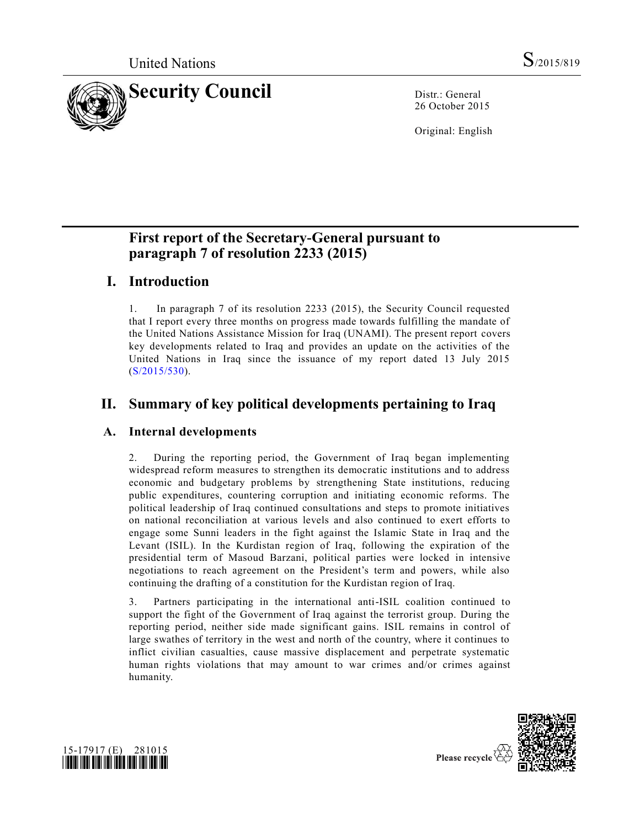

26 October 2015

Original: English

# **First report of the Secretary-General pursuant to paragraph 7 of resolution 2233 (2015)**

# **I. Introduction**

1. In paragraph 7 of its resolution 2233 (2015), the Security Council requested that I report every three months on progress made towards fulfilling the mandate of the United Nations Assistance Mission for Iraq (UNAMI). The present report covers key developments related to Iraq and provides an update on the activities of the United Nations in Iraq since the issuance of my report dated 13 July 2015 [\(S/2015/530\)](http://undocs.org/S/2015/530).

# **II. Summary of key political developments pertaining to Iraq**

### **A. Internal developments**

2. During the reporting period, the Government of Iraq began implementing widespread reform measures to strengthen its democratic institutions and to address economic and budgetary problems by strengthening State institutions, reducing public expenditures, countering corruption and initiating economic reforms. The political leadership of Iraq continued consultations and steps to promote initiatives on national reconciliation at various levels and also continued to exert efforts to engage some Sunni leaders in the fight against the Islamic State in Iraq and the Levant (ISIL). In the Kurdistan region of Iraq, following the expiration of the presidential term of Masoud Barzani, political parties were locked in intensive negotiations to reach agreement on the President's term and powers, while also continuing the drafting of a constitution for the Kurdistan region of Iraq.

3. Partners participating in the international anti-ISIL coalition continued to support the fight of the Government of Iraq against the terrorist group. During the reporting period, neither side made significant gains. ISIL remains in control of large swathes of territory in the west and north of the country, where it continues to inflict civilian casualties, cause massive displacement and perpetrate systematic human rights violations that may amount to war crimes and/or crimes against humanity.





Please recycle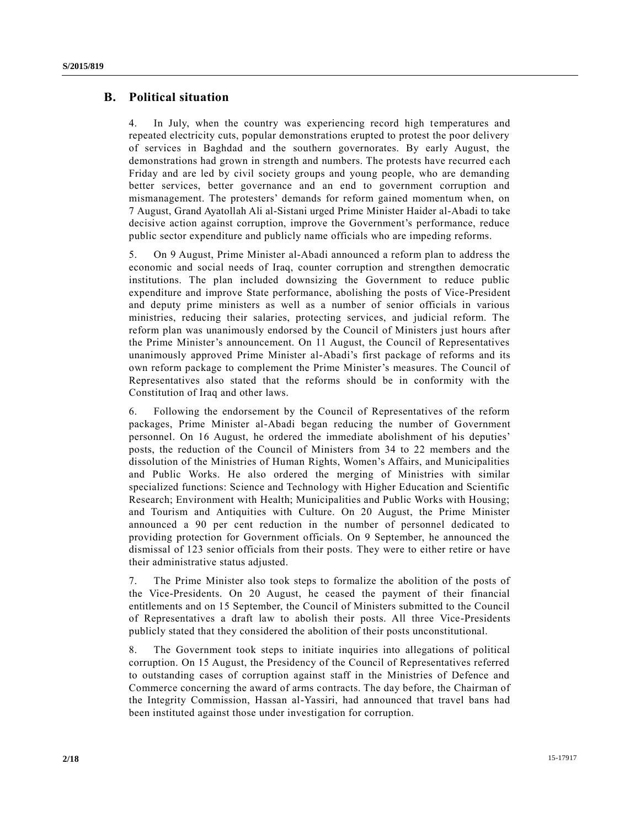#### **B. Political situation**

4. In July, when the country was experiencing record high temperatures and repeated electricity cuts, popular demonstrations erupted to protest the poor delivery of services in Baghdad and the southern governorates. By early August, the demonstrations had grown in strength and numbers. The protests have recurred e ach Friday and are led by civil society groups and young people, who are demanding better services, better governance and an end to government corruption and mismanagement. The protesters' demands for reform gained momentum when, on 7 August, Grand Ayatollah Ali al-Sistani urged Prime Minister Haider al-Abadi to take decisive action against corruption, improve the Government's performance, reduce public sector expenditure and publicly name officials who are impeding reforms.

5. On 9 August, Prime Minister al-Abadi announced a reform plan to address the economic and social needs of Iraq, counter corruption and strengthen democratic institutions. The plan included downsizing the Government to reduce public expenditure and improve State performance, abolishing the posts of Vice-President and deputy prime ministers as well as a number of senior officials in various ministries, reducing their salaries, protecting services, and judicial reform. The reform plan was unanimously endorsed by the Council of Ministers just hours after the Prime Minister's announcement. On 11 August, the Council of Representatives unanimously approved Prime Minister al-Abadi's first package of reforms and its own reform package to complement the Prime Minister's measures. The Council of Representatives also stated that the reforms should be in conformity with the Constitution of Iraq and other laws.

6. Following the endorsement by the Council of Representatives of the reform packages, Prime Minister al-Abadi began reducing the number of Government personnel. On 16 August, he ordered the immediate abolishment of his deputies' posts, the reduction of the Council of Ministers from 34 to 22 members and the dissolution of the Ministries of Human Rights, Women's Affairs, and Municipalities and Public Works. He also ordered the merging of Ministries with similar specialized functions: Science and Technology with Higher Education and Scientific Research; Environment with Health; Municipalities and Public Works with Housing; and Tourism and Antiquities with Culture. On 20 August, the Prime Minister announced a 90 per cent reduction in the number of personnel dedicated to providing protection for Government officials. On 9 September, he announced the dismissal of 123 senior officials from their posts. They were to either retire or have their administrative status adjusted.

7. The Prime Minister also took steps to formalize the abolition of the posts of the Vice-Presidents. On 20 August, he ceased the payment of their financial entitlements and on 15 September, the Council of Ministers submitted to the Council of Representatives a draft law to abolish their posts. All three Vice-Presidents publicly stated that they considered the abolition of their posts unconstitutional.

8. The Government took steps to initiate inquiries into allegations of political corruption. On 15 August, the Presidency of the Council of Representatives referred to outstanding cases of corruption against staff in the Ministries of Defence and Commerce concerning the award of arms contracts. The day before, the Chairman of the Integrity Commission, Hassan al-Yassiri, had announced that travel bans had been instituted against those under investigation for corruption.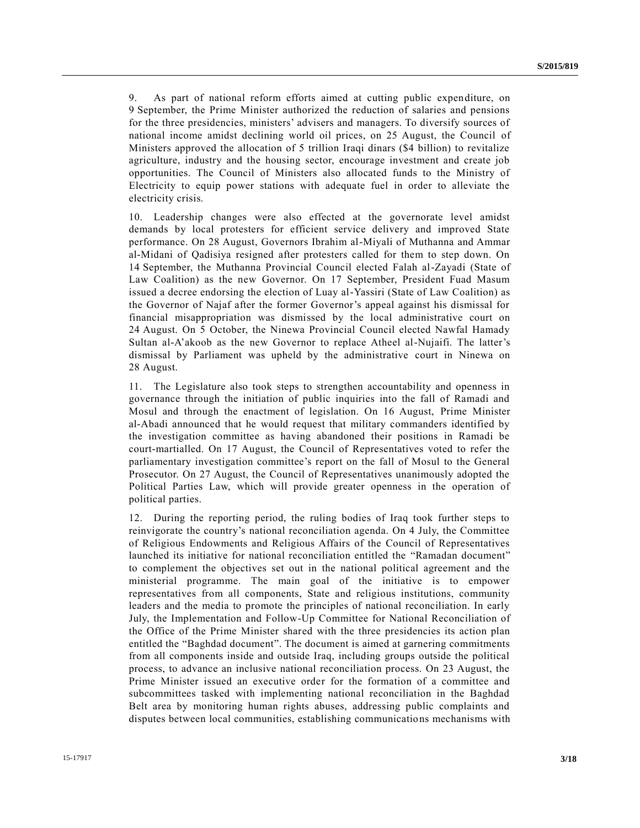9. As part of national reform efforts aimed at cutting public expenditure, on 9 September, the Prime Minister authorized the reduction of salaries and pensions for the three presidencies, ministers' advisers and managers. To diversify sources of national income amidst declining world oil prices, on 25 August, the Council of Ministers approved the allocation of 5 trillion Iraqi dinars (\$4 billion) to revitalize agriculture, industry and the housing sector, encourage investment and create job opportunities. The Council of Ministers also allocated funds to the Ministry of Electricity to equip power stations with adequate fuel in order to alleviate the electricity crisis.

10. Leadership changes were also effected at the governorate level amidst demands by local protesters for efficient service delivery and improved State performance. On 28 August, Governors Ibrahim al-Miyali of Muthanna and Ammar al-Midani of Qadisiya resigned after protesters called for them to step down. On 14 September, the Muthanna Provincial Council elected Falah al-Zayadi (State of Law Coalition) as the new Governor. On 17 September, President Fuad Masum issued a decree endorsing the election of Luay al-Yassiri (State of Law Coalition) as the Governor of Najaf after the former Governor's appeal against his dismissal for financial misappropriation was dismissed by the local administrative court on 24 August. On 5 October, the Ninewa Provincial Council elected Nawfal Hamady Sultan al-A'akoob as the new Governor to replace Atheel al-Nujaifi. The latter's dismissal by Parliament was upheld by the administrative court in Ninewa on 28 August.

11. The Legislature also took steps to strengthen accountability and openness in governance through the initiation of public inquiries into the fall of Ramadi and Mosul and through the enactment of legislation. On 16 August, Prime Minister al-Abadi announced that he would request that military commanders identified by the investigation committee as having abandoned their positions in Ramadi be court-martialled. On 17 August, the Council of Representatives voted to refer the parliamentary investigation committee's report on the fall of Mosul to the General Prosecutor. On 27 August, the Council of Representatives unanimously adopted the Political Parties Law, which will provide greater openness in the operation of political parties.

12. During the reporting period, the ruling bodies of Iraq took further steps to reinvigorate the country's national reconciliation agenda. On 4 July, the Committee of Religious Endowments and Religious Affairs of the Council of Representatives launched its initiative for national reconciliation entitled the "Ramadan document" to complement the objectives set out in the national political agreement and the ministerial programme. The main goal of the initiative is to empower representatives from all components, State and religious institutions, community leaders and the media to promote the principles of national reconciliation. In early July, the Implementation and Follow-Up Committee for National Reconciliation of the Office of the Prime Minister shared with the three presidencies its action plan entitled the "Baghdad document". The document is aimed at garnering commitments from all components inside and outside Iraq, including groups outside the political process, to advance an inclusive national reconciliation process. On 23 August, the Prime Minister issued an executive order for the formation of a committee and subcommittees tasked with implementing national reconciliation in the Baghdad Belt area by monitoring human rights abuses, addressing public complaints and disputes between local communities, establishing communications mechanisms with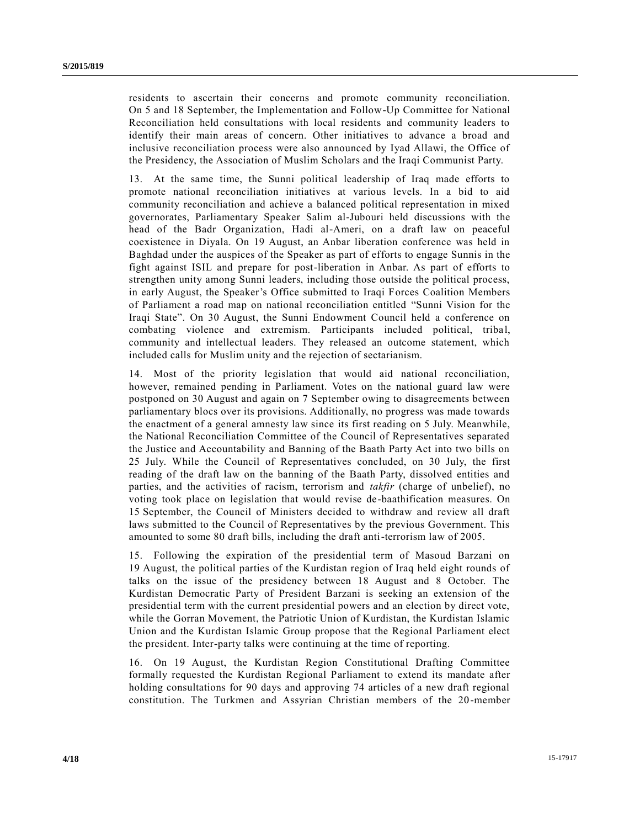residents to ascertain their concerns and promote community reconciliation. On 5 and 18 September, the Implementation and Follow-Up Committee for National Reconciliation held consultations with local residents and community leaders to identify their main areas of concern. Other initiatives to advance a broad and inclusive reconciliation process were also announced by Iyad Allawi, the Office of the Presidency, the Association of Muslim Scholars and the Iraqi Communist Party.

13. At the same time, the Sunni political leadership of Iraq made efforts to promote national reconciliation initiatives at various levels. In a bid to aid community reconciliation and achieve a balanced political representation in mixed governorates, Parliamentary Speaker Salim al-Jubouri held discussions with the head of the Badr Organization, Hadi al-Ameri, on a draft law on peaceful coexistence in Diyala. On 19 August, an Anbar liberation conference was held in Baghdad under the auspices of the Speaker as part of efforts to engage Sunnis in the fight against ISIL and prepare for post-liberation in Anbar. As part of efforts to strengthen unity among Sunni leaders, including those outside the political process, in early August, the Speaker's Office submitted to Iraqi Forces Coalition Members of Parliament a road map on national reconciliation entitled "Sunni Vision for the Iraqi State". On 30 August, the Sunni Endowment Council held a conference on combating violence and extremism. Participants included political, tribal, community and intellectual leaders. They released an outcome statement, which included calls for Muslim unity and the rejection of sectarianism.

14. Most of the priority legislation that would aid national reconciliation, however, remained pending in Parliament. Votes on the national guard law were postponed on 30 August and again on 7 September owing to disagreements between parliamentary blocs over its provisions. Additionally, no progress was made towards the enactment of a general amnesty law since its first reading on 5 July. Meanwhile, the National Reconciliation Committee of the Council of Representatives separated the Justice and Accountability and Banning of the Baath Party Act into two bills on 25 July. While the Council of Representatives concluded, on 30 July, the first reading of the draft law on the banning of the Baath Party, dissolved entities and parties, and the activities of racism, terrorism and *takfir* (charge of unbelief), no voting took place on legislation that would revise de-baathification measures. On 15 September, the Council of Ministers decided to withdraw and review all draft laws submitted to the Council of Representatives by the previous Government. This amounted to some 80 draft bills, including the draft anti-terrorism law of 2005.

15. Following the expiration of the presidential term of Masoud Barzani on 19 August, the political parties of the Kurdistan region of Iraq held eight rounds of talks on the issue of the presidency between 18 August and 8 October. The Kurdistan Democratic Party of President Barzani is seeking an extension of the presidential term with the current presidential powers and an election by direct vote, while the Gorran Movement, the Patriotic Union of Kurdistan, the Kurdistan Islamic Union and the Kurdistan Islamic Group propose that the Regional Parliament elect the president. Inter-party talks were continuing at the time of reporting.

16. On 19 August, the Kurdistan Region Constitutional Drafting Committee formally requested the Kurdistan Regional Parliament to extend its mandate after holding consultations for 90 days and approving 74 articles of a new draft regional constitution. The Turkmen and Assyrian Christian members of the 20-member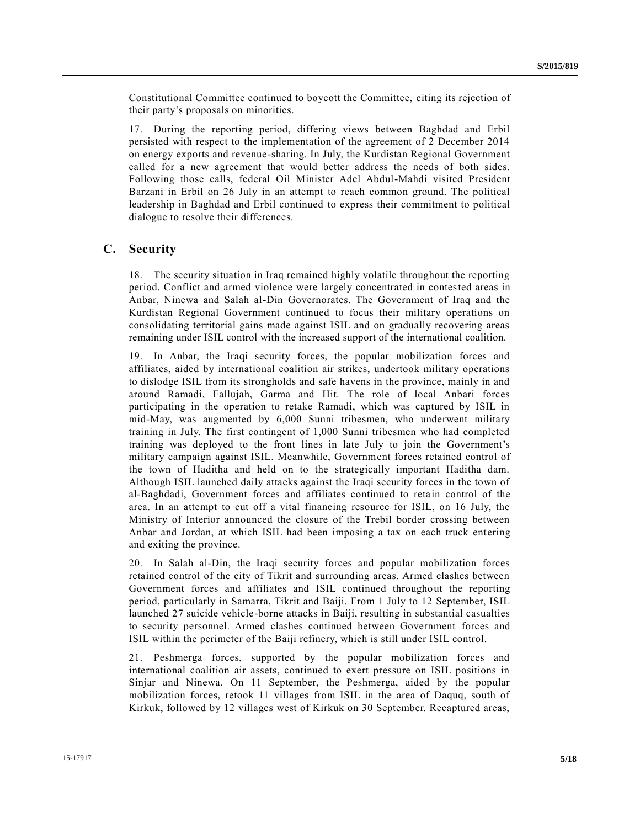Constitutional Committee continued to boycott the Committee, citing its rejection of their party's proposals on minorities.

17. During the reporting period, differing views between Baghdad and Erbil persisted with respect to the implementation of the agreement of 2 December 2014 on energy exports and revenue-sharing. In July, the Kurdistan Regional Government called for a new agreement that would better address the needs of both sides. Following those calls, federal Oil Minister Adel Abdul-Mahdi visited President Barzani in Erbil on 26 July in an attempt to reach common ground. The political leadership in Baghdad and Erbil continued to express their commitment to political dialogue to resolve their differences.

#### **C. Security**

18. The security situation in Iraq remained highly volatile throughout the reporting period. Conflict and armed violence were largely concentrated in contested areas in Anbar, Ninewa and Salah al-Din Governorates. The Government of Iraq and the Kurdistan Regional Government continued to focus their military operations on consolidating territorial gains made against ISIL and on gradually recovering areas remaining under ISIL control with the increased support of the international coalition.

19. In Anbar, the Iraqi security forces, the popular mobilization forces and affiliates, aided by international coalition air strikes, undertook military operations to dislodge ISIL from its strongholds and safe havens in the province, mainly in and around Ramadi, Fallujah, Garma and Hit. The role of local Anbari forces participating in the operation to retake Ramadi, which was captured by ISIL in mid-May, was augmented by 6,000 Sunni tribesmen, who underwent military training in July. The first contingent of 1,000 Sunni tribesmen who had completed training was deployed to the front lines in late July to join the Government's military campaign against ISIL. Meanwhile, Government forces retained control of the town of Haditha and held on to the strategically important Haditha dam. Although ISIL launched daily attacks against the Iraqi security forces in the town of al-Baghdadi, Government forces and affiliates continued to retain control of the area. In an attempt to cut off a vital financing resource for ISIL, on 16 July, the Ministry of Interior announced the closure of the Trebil border crossing between Anbar and Jordan, at which ISIL had been imposing a tax on each truck entering and exiting the province.

20. In Salah al-Din, the Iraqi security forces and popular mobilization forces retained control of the city of Tikrit and surrounding areas. Armed clashes between Government forces and affiliates and ISIL continued throughout the reporting period, particularly in Samarra, Tikrit and Baiji. From 1 July to 12 September, ISIL launched 27 suicide vehicle-borne attacks in Baiji, resulting in substantial casualties to security personnel. Armed clashes continued between Government forces and ISIL within the perimeter of the Baiji refinery, which is still under ISIL control.

21. Peshmerga forces, supported by the popular mobilization forces and international coalition air assets, continued to exert pressure on ISIL positions in Sinjar and Ninewa. On 11 September, the Peshmerga, aided by the popular mobilization forces, retook 11 villages from ISIL in the area of Daquq, south of Kirkuk, followed by 12 villages west of Kirkuk on 30 September. Recaptured areas,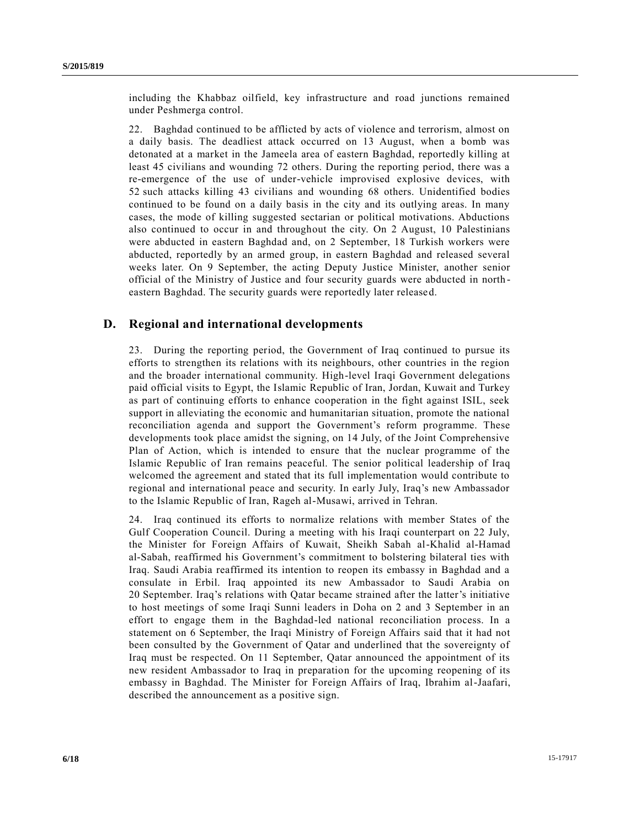including the Khabbaz oilfield, key infrastructure and road junctions remained under Peshmerga control.

22. Baghdad continued to be afflicted by acts of violence and terrorism, almost on a daily basis. The deadliest attack occurred on 13 August, when a bomb was detonated at a market in the Jameela area of eastern Baghdad, reportedly killing at least 45 civilians and wounding 72 others. During the reporting period, there was a re-emergence of the use of under-vehicle improvised explosive devices, with 52 such attacks killing 43 civilians and wounding 68 others. Unidentified bodies continued to be found on a daily basis in the city and its outlying areas. In many cases, the mode of killing suggested sectarian or political motivations. Abductions also continued to occur in and throughout the city. On 2 August, 10 Palestinians were abducted in eastern Baghdad and, on 2 September, 18 Turkish workers were abducted, reportedly by an armed group, in eastern Baghdad and released several weeks later. On 9 September, the acting Deputy Justice Minister, another senior official of the Ministry of Justice and four security guards were abducted in north eastern Baghdad. The security guards were reportedly later released.

### **D. Regional and international developments**

23. During the reporting period, the Government of Iraq continued to pursue its efforts to strengthen its relations with its neighbours, other countries in the region and the broader international community. High-level Iraqi Government delegations paid official visits to Egypt, the Islamic Republic of Iran, Jordan, Kuwait and Turkey as part of continuing efforts to enhance cooperation in the fight against ISIL, seek support in alleviating the economic and humanitarian situation, promote the national reconciliation agenda and support the Government's reform programme. These developments took place amidst the signing, on 14 July, of the Joint Comprehensive Plan of Action, which is intended to ensure that the nuclear programme of the Islamic Republic of Iran remains peaceful. The senior political leadership of Iraq welcomed the agreement and stated that its full implementation would contribute to regional and international peace and security. In early July, Iraq's new Ambassador to the Islamic Republic of Iran, Rageh al-Musawi, arrived in Tehran.

24. Iraq continued its efforts to normalize relations with member States of the Gulf Cooperation Council. During a meeting with his Iraqi counterpart on 22 July, the Minister for Foreign Affairs of Kuwait, Sheikh Sabah al-Khalid al-Hamad al-Sabah, reaffirmed his Government's commitment to bolstering bilateral ties with Iraq. Saudi Arabia reaffirmed its intention to reopen its embassy in Baghdad and a consulate in Erbil. Iraq appointed its new Ambassador to Saudi Arabia on 20 September. Iraq's relations with Qatar became strained after the latter's initiative to host meetings of some Iraqi Sunni leaders in Doha on 2 and 3 September in an effort to engage them in the Baghdad-led national reconciliation process. In a statement on 6 September, the Iraqi Ministry of Foreign Affairs said that it had not been consulted by the Government of Qatar and underlined that the sovereignty of Iraq must be respected. On 11 September, Qatar announced the appointment of its new resident Ambassador to Iraq in preparation for the upcoming reopening of its embassy in Baghdad. The Minister for Foreign Affairs of Iraq, Ibrahim al-Jaafari, described the announcement as a positive sign.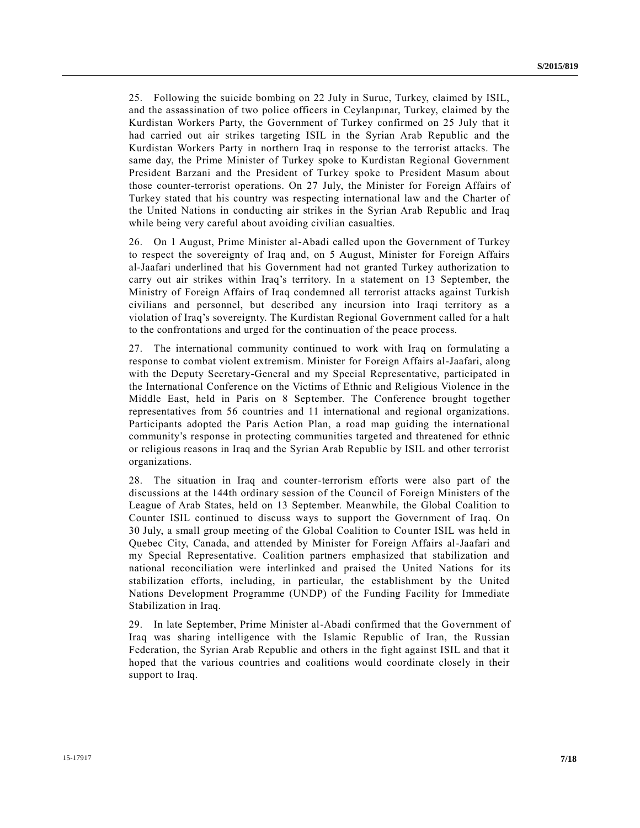25. Following the suicide bombing on 22 July in Suruc, Turkey, claimed by ISIL, and the assassination of two police officers in Ceylanpınar, Turkey, claimed by the Kurdistan Workers Party, the Government of Turkey confirmed on 25 July that it had carried out air strikes targeting ISIL in the Syrian Arab Republic and the Kurdistan Workers Party in northern Iraq in response to the terrorist attacks. The same day, the Prime Minister of Turkey spoke to Kurdistan Regional Government President Barzani and the President of Turkey spoke to President Masum about those counter-terrorist operations. On 27 July, the Minister for Foreign Affairs of Turkey stated that his country was respecting international law and the Charter of the United Nations in conducting air strikes in the Syrian Arab Republic and Iraq while being very careful about avoiding civilian casualties.

26. On 1 August, Prime Minister al-Abadi called upon the Government of Turkey to respect the sovereignty of Iraq and, on 5 August, Minister for Foreign Affairs al-Jaafari underlined that his Government had not granted Turkey authorization to carry out air strikes within Iraq's territory. In a statement on 13 September, the Ministry of Foreign Affairs of Iraq condemned all terrorist attacks against Turkish civilians and personnel, but described any incursion into Iraqi territory as a violation of Iraq's sovereignty. The Kurdistan Regional Government called for a halt to the confrontations and urged for the continuation of the peace process.

27. The international community continued to work with Iraq on formulating a response to combat violent extremism. Minister for Foreign Affairs al-Jaafari, along with the Deputy Secretary-General and my Special Representative, participated in the International Conference on the Victims of Ethnic and Religious Violence in the Middle East, held in Paris on 8 September. The Conference brought together representatives from 56 countries and 11 international and regional organizations. Participants adopted the Paris Action Plan, a road map guiding the international community's response in protecting communities targeted and threatened for ethnic or religious reasons in Iraq and the Syrian Arab Republic by ISIL and other terrorist organizations.

28. The situation in Iraq and counter-terrorism efforts were also part of the discussions at the 144th ordinary session of the Council of Foreign Ministers of the League of Arab States, held on 13 September. Meanwhile, the Global Coalition to Counter ISIL continued to discuss ways to support the Government of Iraq. On 30 July, a small group meeting of the Global Coalition to Counter ISIL was held in Quebec City, Canada, and attended by Minister for Foreign Affairs al-Jaafari and my Special Representative. Coalition partners emphasized that stabilization and national reconciliation were interlinked and praised the United Nations for its stabilization efforts, including, in particular, the establishment by the United Nations Development Programme (UNDP) of the Funding Facility for Immediate Stabilization in Iraq.

29. In late September, Prime Minister al-Abadi confirmed that the Government of Iraq was sharing intelligence with the Islamic Republic of Iran, the Russian Federation, the Syrian Arab Republic and others in the fight against ISIL and that it hoped that the various countries and coalitions would coordinate closely in their support to Iraq.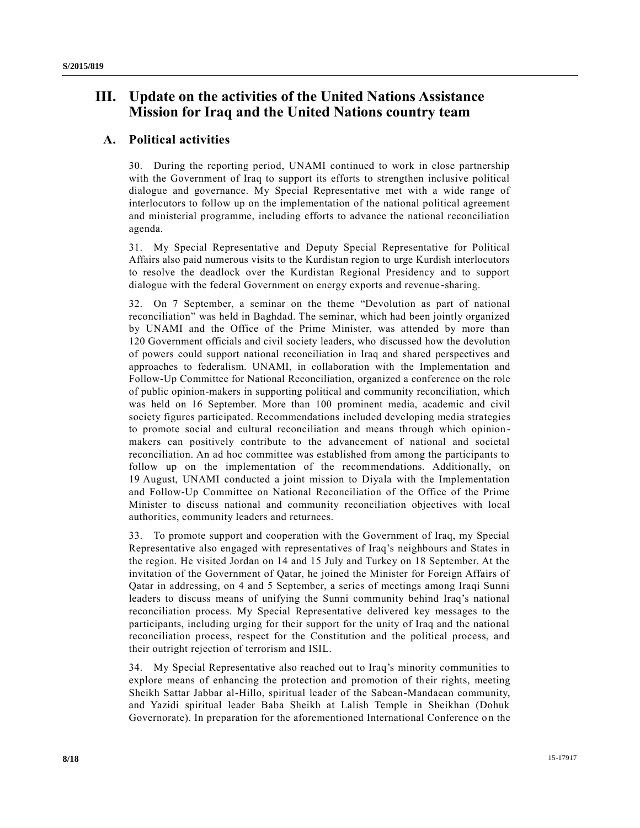## **III. Update on the activities of the United Nations Assistance Mission for Iraq and the United Nations country team**

### **A. Political activities**

30. During the reporting period, UNAMI continued to work in close partnership with the Government of Iraq to support its efforts to strengthen inclusive political dialogue and governance. My Special Representative met with a wide range of interlocutors to follow up on the implementation of the national political agreement and ministerial programme, including efforts to advance the national reconciliation agenda.

31. My Special Representative and Deputy Special Representative for Political Affairs also paid numerous visits to the Kurdistan region to urge Kurdish interlocutors to resolve the deadlock over the Kurdistan Regional Presidency and to support dialogue with the federal Government on energy exports and revenue -sharing.

32. On 7 September, a seminar on the theme "Devolution as part of national reconciliation" was held in Baghdad. The seminar, which had been jointly organized by UNAMI and the Office of the Prime Minister, was attended by more than 120 Government officials and civil society leaders, who discussed how the devolution of powers could support national reconciliation in Iraq and shared perspectives and approaches to federalism. UNAMI, in collaboration with the Implementation and Follow-Up Committee for National Reconciliation, organized a conference on the role of public opinion-makers in supporting political and community reconciliation, which was held on 16 September. More than 100 prominent media, academic and civil society figures participated. Recommendations included developing media strategies to promote social and cultural reconciliation and means through which opinion makers can positively contribute to the advancement of national and societal reconciliation. An ad hoc committee was established from among the participants to follow up on the implementation of the recommendations. Additionally, on 19 August, UNAMI conducted a joint mission to Diyala with the Implementation and Follow-Up Committee on National Reconciliation of the Office of the Prime Minister to discuss national and community reconciliation objectives with local authorities, community leaders and returnees.

33. To promote support and cooperation with the Government of Iraq, my Special Representative also engaged with representatives of Iraq's neighbours and States in the region. He visited Jordan on 14 and 15 July and Turkey on 18 September. At the invitation of the Government of Qatar, he joined the Minister for Foreign Affairs of Qatar in addressing, on 4 and 5 September, a series of meetings among Iraqi Sunni leaders to discuss means of unifying the Sunni community behind Iraq's national reconciliation process. My Special Representative delivered key messages to the participants, including urging for their support for the unity of Iraq and the national reconciliation process, respect for the Constitution and the political process, and their outright rejection of terrorism and ISIL.

34. My Special Representative also reached out to Iraq's minority communities to explore means of enhancing the protection and promotion of their rights, meeting Sheikh Sattar Jabbar al-Hillo, spiritual leader of the Sabean-Mandaean community, and Yazidi spiritual leader Baba Sheikh at Lalish Temple in Sheikhan (Dohuk Governorate). In preparation for the aforementioned International Conference on the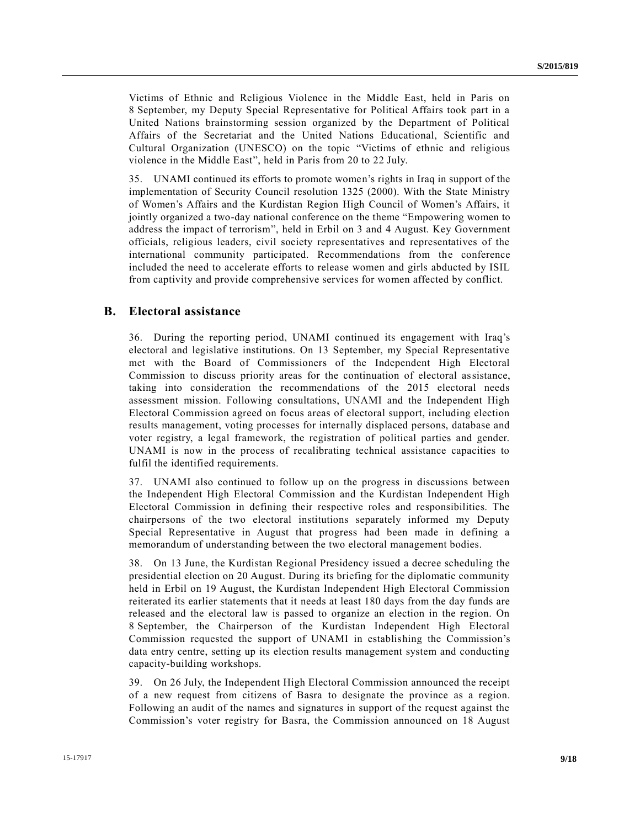Victims of Ethnic and Religious Violence in the Middle East, held in Paris on 8 September, my Deputy Special Representative for Political Affairs took part in a United Nations brainstorming session organized by the Department of Political Affairs of the Secretariat and the United Nations Educational, Scientific and Cultural Organization (UNESCO) on the topic "Victims of ethnic and religious violence in the Middle East", held in Paris from 20 to 22 July.

35. UNAMI continued its efforts to promote women's rights in Iraq in support of the implementation of Security Council resolution 1325 (2000). With the State Ministry of Women's Affairs and the Kurdistan Region High Council of Women's Affairs, it jointly organized a two-day national conference on the theme "Empowering women to address the impact of terrorism", held in Erbil on 3 and 4 August. Key Government officials, religious leaders, civil society representatives and representatives of the international community participated. Recommendations from the conference included the need to accelerate efforts to release women and girls abducted by ISIL from captivity and provide comprehensive services for women affected by conflict.

#### **B. Electoral assistance**

36. During the reporting period, UNAMI continued its engagement with Iraq's electoral and legislative institutions. On 13 September, my Special Representative met with the Board of Commissioners of the Independent High Electoral Commission to discuss priority areas for the continuation of electoral assistance, taking into consideration the recommendations of the 2015 electoral needs assessment mission. Following consultations, UNAMI and the Independent High Electoral Commission agreed on focus areas of electoral support, including election results management, voting processes for internally displaced persons, database and voter registry, a legal framework, the registration of political parties and gender. UNAMI is now in the process of recalibrating technical assistance capacities to fulfil the identified requirements.

37. UNAMI also continued to follow up on the progress in discussions between the Independent High Electoral Commission and the Kurdistan Independent High Electoral Commission in defining their respective roles and responsibilities. The chairpersons of the two electoral institutions separately informed my Deputy Special Representative in August that progress had been made in defining a memorandum of understanding between the two electoral management bodies.

38. On 13 June, the Kurdistan Regional Presidency issued a decree scheduling the presidential election on 20 August. During its briefing for the diplomatic community held in Erbil on 19 August, the Kurdistan Independent High Electoral Commission reiterated its earlier statements that it needs at least 180 days from the day funds are released and the electoral law is passed to organize an election in the region. On 8 September, the Chairperson of the Kurdistan Independent High Electoral Commission requested the support of UNAMI in establishing the Commission's data entry centre, setting up its election results management system and conducting capacity-building workshops.

39. On 26 July, the Independent High Electoral Commission announced the receipt of a new request from citizens of Basra to designate the province as a region. Following an audit of the names and signatures in support of the request against the Commission's voter registry for Basra, the Commission announced on 18 August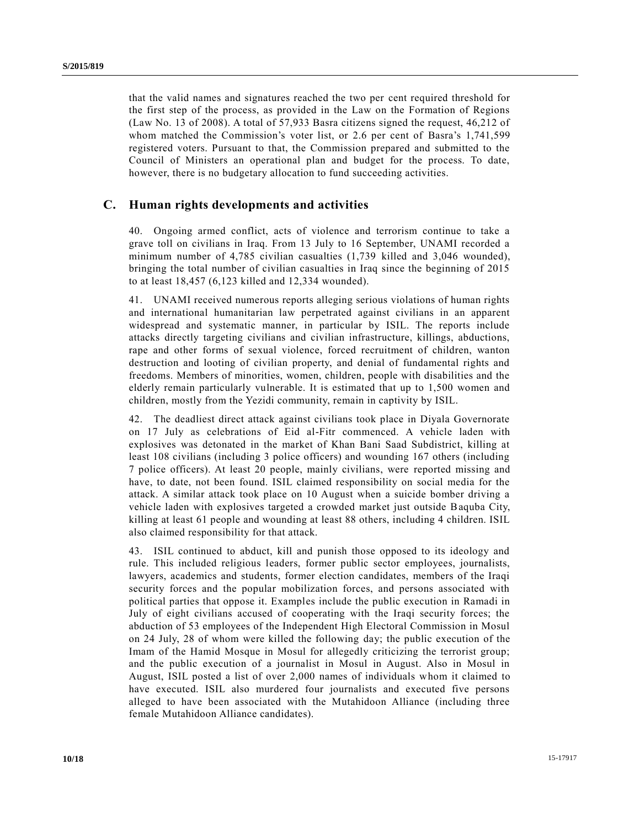that the valid names and signatures reached the two per cent required threshold for the first step of the process, as provided in the Law on the Formation of Regions (Law No. 13 of 2008). A total of 57,933 Basra citizens signed the request, 46,212 of whom matched the Commission's voter list, or 2.6 per cent of Basra's 1,741,599 registered voters. Pursuant to that, the Commission prepared and submitted to the Council of Ministers an operational plan and budget for the process. To date, however, there is no budgetary allocation to fund succeeding activities.

### **C. Human rights developments and activities**

40. Ongoing armed conflict, acts of violence and terrorism continue to take a grave toll on civilians in Iraq. From 13 July to 16 September, UNAMI recorded a minimum number of 4,785 civilian casualties (1,739 killed and 3,046 wounded), bringing the total number of civilian casualties in Iraq since the beginning of 2015 to at least 18,457 (6,123 killed and 12,334 wounded).

41. UNAMI received numerous reports alleging serious violations of human rights and international humanitarian law perpetrated against civilians in an apparent widespread and systematic manner, in particular by ISIL. The reports include attacks directly targeting civilians and civilian infrastructure, killings, abductions, rape and other forms of sexual violence, forced recruitment of children, wanton destruction and looting of civilian property, and denial of fundamental rights and freedoms. Members of minorities, women, children, people with disabilities and the elderly remain particularly vulnerable. It is estimated that up to 1,500 women and children, mostly from the Yezidi community, remain in captivity by ISIL.

42. The deadliest direct attack against civilians took place in Diyala Governorate on 17 July as celebrations of Eid al-Fitr commenced. A vehicle laden with explosives was detonated in the market of Khan Bani Saad Subdistrict, killing at least 108 civilians (including 3 police officers) and wounding 167 others (including 7 police officers). At least 20 people, mainly civilians, were reported missing and have, to date, not been found. ISIL claimed responsibility on social media for the attack. A similar attack took place on 10 August when a suicide bomber driving a vehicle laden with explosives targeted a crowded market just outside Baquba City, killing at least 61 people and wounding at least 88 others, including 4 children. ISIL also claimed responsibility for that attack.

43. ISIL continued to abduct, kill and punish those opposed to its ideology and rule. This included religious leaders, former public sector employees, journalists, lawyers, academics and students, former election candidates, members of the Iraqi security forces and the popular mobilization forces, and persons associated with political parties that oppose it. Examples include the public execution in Ramadi in July of eight civilians accused of cooperating with the Iraqi security forces; the abduction of 53 employees of the Independent High Electoral Commission in Mosul on 24 July, 28 of whom were killed the following day; the public execution of the Imam of the Hamid Mosque in Mosul for allegedly criticizing the terrorist group; and the public execution of a journalist in Mosul in August. Also in Mosul in August, ISIL posted a list of over 2,000 names of individuals whom it claimed to have executed. ISIL also murdered four journalists and executed five persons alleged to have been associated with the Mutahidoon Alliance (including three female Mutahidoon Alliance candidates).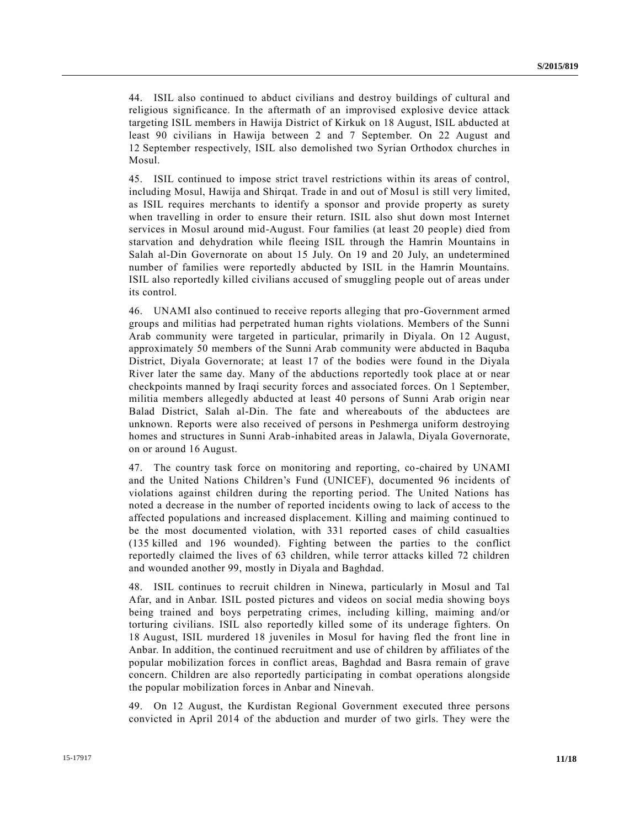44. ISIL also continued to abduct civilians and destroy buildings of cultural and religious significance. In the aftermath of an improvised explosive device attack targeting ISIL members in Hawija District of Kirkuk on 18 August, ISIL abducted at least 90 civilians in Hawija between 2 and 7 September. On 22 August and 12 September respectively, ISIL also demolished two Syrian Orthodox churches in Mosul.

45. ISIL continued to impose strict travel restrictions within its areas of control, including Mosul, Hawija and Shirqat. Trade in and out of Mosul is still very limited, as ISIL requires merchants to identify a sponsor and provide property as surety when travelling in order to ensure their return. ISIL also shut down most Internet services in Mosul around mid-August. Four families (at least 20 people) died from starvation and dehydration while fleeing ISIL through the Hamrin Mountains in Salah al-Din Governorate on about 15 July. On 19 and 20 July, an undetermined number of families were reportedly abducted by ISIL in the Hamrin Mountains. ISIL also reportedly killed civilians accused of smuggling people out of areas under its control.

46. UNAMI also continued to receive reports alleging that pro-Government armed groups and militias had perpetrated human rights violations. Members of the Sunni Arab community were targeted in particular, primarily in Diyala. On 12 August, approximately 50 members of the Sunni Arab community were abducted in Baquba District, Diyala Governorate; at least 17 of the bodies were found in the Diyala River later the same day. Many of the abductions reportedly took place at or near checkpoints manned by Iraqi security forces and associated forces. On 1 September, militia members allegedly abducted at least 40 persons of Sunni Arab origin near Balad District, Salah al-Din. The fate and whereabouts of the abductees are unknown. Reports were also received of persons in Peshmerga uniform destroying homes and structures in Sunni Arab-inhabited areas in Jalawla, Diyala Governorate, on or around 16 August.

47. The country task force on monitoring and reporting, co-chaired by UNAMI and the United Nations Children's Fund (UNICEF), documented 96 incidents of violations against children during the reporting period. The United Nations has noted a decrease in the number of reported incidents owing to lack of access to the affected populations and increased displacement. Killing and maiming continued to be the most documented violation, with 331 reported cases of child casualties (135 killed and 196 wounded). Fighting between the parties to the conflict reportedly claimed the lives of 63 children, while terror attacks killed 72 children and wounded another 99, mostly in Diyala and Baghdad.

48. ISIL continues to recruit children in Ninewa, particularly in Mosul and Tal Afar, and in Anbar. ISIL posted pictures and videos on social media showing boys being trained and boys perpetrating crimes, including killing, maiming and/or torturing civilians. ISIL also reportedly killed some of its underage fighters. On 18 August, ISIL murdered 18 juveniles in Mosul for having fled the front line in Anbar. In addition, the continued recruitment and use of children by affiliates of the popular mobilization forces in conflict areas, Baghdad and Basra remain of grave concern. Children are also reportedly participating in combat operations alongside the popular mobilization forces in Anbar and Ninevah.

49. On 12 August, the Kurdistan Regional Government executed three persons convicted in April 2014 of the abduction and murder of two girls. They were the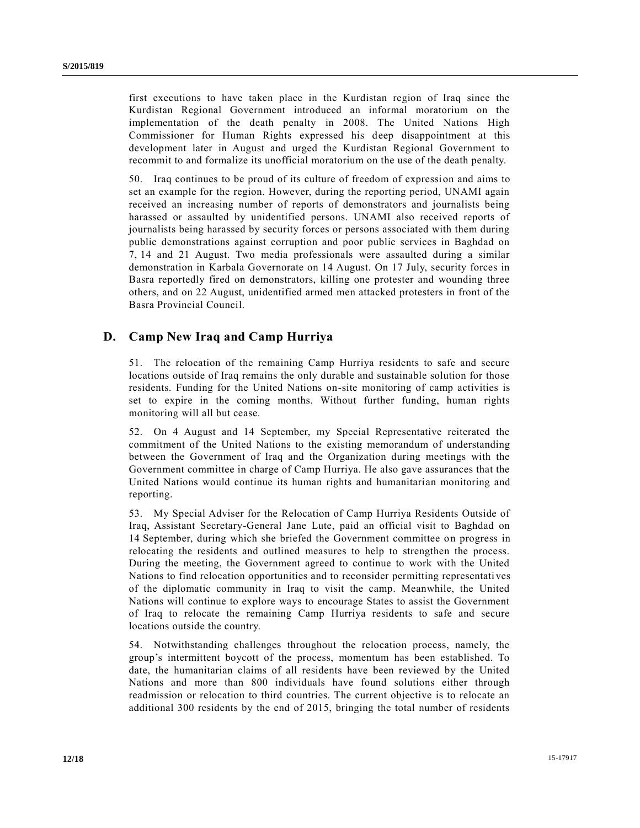first executions to have taken place in the Kurdistan region of Iraq since the Kurdistan Regional Government introduced an informal moratorium on the implementation of the death penalty in 2008. The United Nations High Commissioner for Human Rights expressed his deep disappointment at this development later in August and urged the Kurdistan Regional Government to recommit to and formalize its unofficial moratorium on the use of the death penalty.

50. Iraq continues to be proud of its culture of freedom of expression and aims to set an example for the region. However, during the reporting period, UNAMI again received an increasing number of reports of demonstrators and journalists being harassed or assaulted by unidentified persons. UNAMI also received reports of journalists being harassed by security forces or persons associated with them during public demonstrations against corruption and poor public services in Baghdad on 7, 14 and 21 August. Two media professionals were assaulted during a similar demonstration in Karbala Governorate on 14 August. On 17 July, security forces in Basra reportedly fired on demonstrators, killing one protester and wounding three others, and on 22 August, unidentified armed men attacked protesters in front of the Basra Provincial Council.

## **D. Camp New Iraq and Camp Hurriya**

51. The relocation of the remaining Camp Hurriya residents to safe and secure locations outside of Iraq remains the only durable and sustainable solution for those residents. Funding for the United Nations on-site monitoring of camp activities is set to expire in the coming months. Without further funding, human rights monitoring will all but cease.

52. On 4 August and 14 September, my Special Representative reiterated the commitment of the United Nations to the existing memorandum of understanding between the Government of Iraq and the Organization during meetings with the Government committee in charge of Camp Hurriya. He also gave assurances that the United Nations would continue its human rights and humanitarian monitoring and reporting.

53. My Special Adviser for the Relocation of Camp Hurriya Residents Outside of Iraq, Assistant Secretary-General Jane Lute, paid an official visit to Baghdad on 14 September, during which she briefed the Government committee on progress in relocating the residents and outlined measures to help to strengthen the process. During the meeting, the Government agreed to continue to work with the United Nations to find relocation opportunities and to reconsider permitting representati ves of the diplomatic community in Iraq to visit the camp. Meanwhile, the United Nations will continue to explore ways to encourage States to assist the Government of Iraq to relocate the remaining Camp Hurriya residents to safe and secure locations outside the country.

54. Notwithstanding challenges throughout the relocation process, namely, the group's intermittent boycott of the process, momentum has been established. To date, the humanitarian claims of all residents have been reviewed by the United Nations and more than 800 individuals have found solutions either through readmission or relocation to third countries. The current objective is to relocate an additional 300 residents by the end of 2015, bringing the total number of residents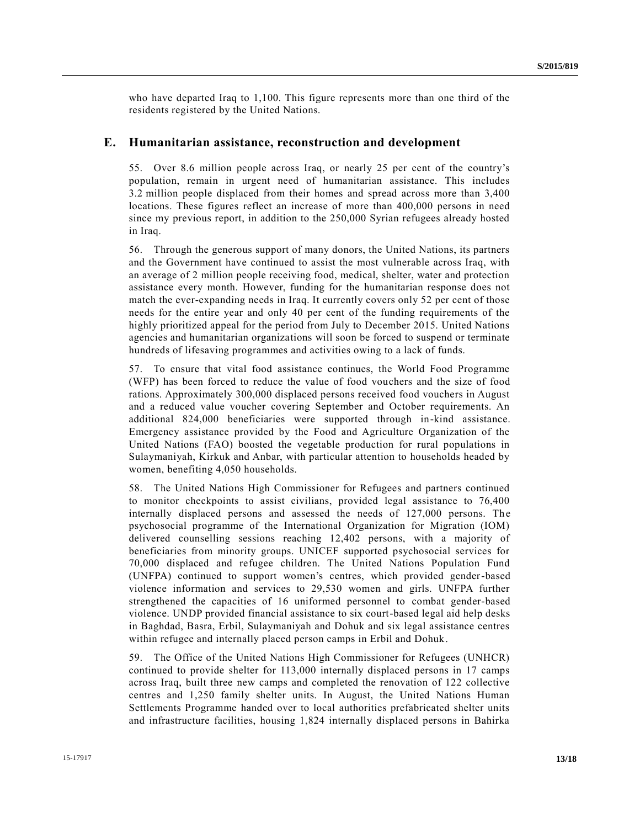who have departed Iraq to 1,100. This figure represents more than one third of the residents registered by the United Nations.

#### **E. Humanitarian assistance, reconstruction and development**

55. Over 8.6 million people across Iraq, or nearly 25 per cent of the country's population, remain in urgent need of humanitarian assistance. This includes 3.2 million people displaced from their homes and spread across more than 3,400 locations. These figures reflect an increase of more than 400,000 persons in need since my previous report, in addition to the 250,000 Syrian refugees already hosted in Iraq.

56. Through the generous support of many donors, the United Nations, its partners and the Government have continued to assist the most vulnerable across Iraq, with an average of 2 million people receiving food, medical, shelter, water and protection assistance every month. However, funding for the humanitarian response does not match the ever-expanding needs in Iraq. It currently covers only 52 per cent of those needs for the entire year and only 40 per cent of the funding requirements of the highly prioritized appeal for the period from July to December 2015. United Nations agencies and humanitarian organizations will soon be forced to suspend or terminate hundreds of lifesaving programmes and activities owing to a lack of funds.

57. To ensure that vital food assistance continues, the World Food Programme (WFP) has been forced to reduce the value of food vouchers and the size of food rations. Approximately 300,000 displaced persons received food vouchers in August and a reduced value voucher covering September and October requirements. An additional 824,000 beneficiaries were supported through in-kind assistance. Emergency assistance provided by the Food and Agriculture Organization of the United Nations (FAO) boosted the vegetable production for rural populations in Sulaymaniyah, Kirkuk and Anbar, with particular attention to households headed by women, benefiting 4,050 households.

58. The United Nations High Commissioner for Refugees and partners continued to monitor checkpoints to assist civilians, provided legal assistance to 76,400 internally displaced persons and assessed the needs of 127,000 persons. The psychosocial programme of the International Organization for Migration (IOM) delivered counselling sessions reaching 12,402 persons, with a majority of beneficiaries from minority groups. UNICEF supported psychosocial services for 70,000 displaced and refugee children. The United Nations Population Fund (UNFPA) continued to support women's centres, which provided gender-based violence information and services to 29,530 women and girls. UNFPA further strengthened the capacities of 16 uniformed personnel to combat gender-based violence. UNDP provided financial assistance to six court-based legal aid help desks in Baghdad, Basra, Erbil, Sulaymaniyah and Dohuk and six legal assistance centres within refugee and internally placed person camps in Erbil and Dohuk.

59. The Office of the United Nations High Commissioner for Refugees (UNHCR) continued to provide shelter for 113,000 internally displaced persons in 17 camps across Iraq, built three new camps and completed the renovation of 122 collective centres and 1,250 family shelter units. In August, the United Nations Human Settlements Programme handed over to local authorities prefabricated shelter units and infrastructure facilities, housing 1,824 internally displaced persons in Bahirka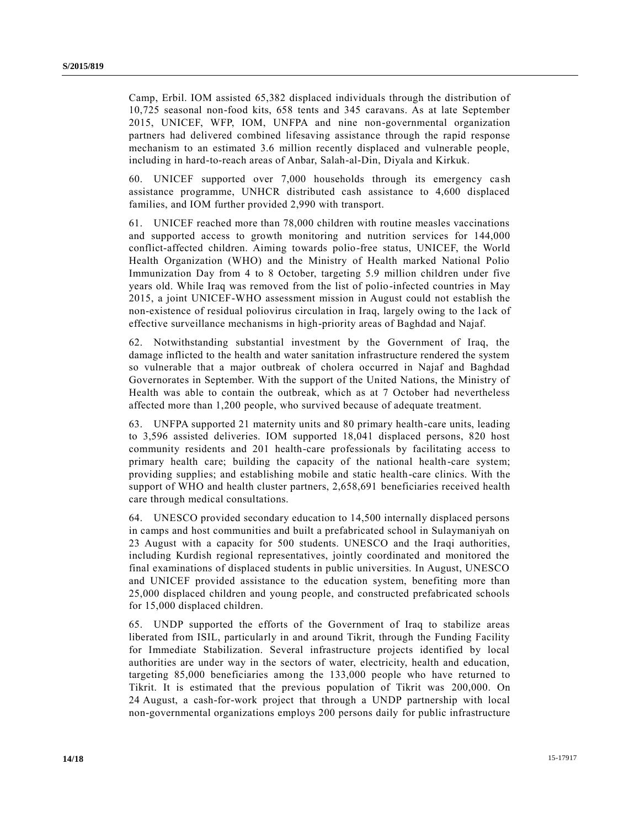Camp, Erbil. IOM assisted 65,382 displaced individuals through the distribution of 10,725 seasonal non-food kits, 658 tents and 345 caravans. As at late September 2015, UNICEF, WFP, IOM, UNFPA and nine non-governmental organization partners had delivered combined lifesaving assistance through the rapid response mechanism to an estimated 3.6 million recently displaced and vulnerable people, including in hard-to-reach areas of Anbar, Salah-al-Din, Diyala and Kirkuk.

60. UNICEF supported over 7,000 households through its emergency ca sh assistance programme, UNHCR distributed cash assistance to 4,600 displaced families, and IOM further provided 2,990 with transport.

61. UNICEF reached more than 78,000 children with routine measles vaccinations and supported access to growth monitoring and nutrition services for 144,000 conflict-affected children. Aiming towards polio-free status, UNICEF, the World Health Organization (WHO) and the Ministry of Health marked National Polio Immunization Day from 4 to 8 October, targeting 5.9 million children under five years old. While Iraq was removed from the list of polio-infected countries in May 2015, a joint UNICEF-WHO assessment mission in August could not establish the non-existence of residual poliovirus circulation in Iraq, largely owing to the l ack of effective surveillance mechanisms in high-priority areas of Baghdad and Najaf.

62. Notwithstanding substantial investment by the Government of Iraq, the damage inflicted to the health and water sanitation infrastructure rendered the system so vulnerable that a major outbreak of cholera occurred in Najaf and Baghdad Governorates in September. With the support of the United Nations, the Ministry of Health was able to contain the outbreak, which as at 7 October had nevertheless affected more than 1,200 people, who survived because of adequate treatment.

63. UNFPA supported 21 maternity units and 80 primary health-care units, leading to 3,596 assisted deliveries. IOM supported 18,041 displaced persons, 820 host community residents and 201 health-care professionals by facilitating access to primary health care; building the capacity of the national health-care system; providing supplies; and establishing mobile and static health-care clinics. With the support of WHO and health cluster partners, 2,658,691 beneficiaries received health care through medical consultations.

64. UNESCO provided secondary education to 14,500 internally displaced persons in camps and host communities and built a prefabricated school in Sulaymaniyah on 23 August with a capacity for 500 students. UNESCO and the Iraqi authorities, including Kurdish regional representatives, jointly coordinated and monitored the final examinations of displaced students in public universities. In August, UNESCO and UNICEF provided assistance to the education system, benefiting more than 25,000 displaced children and young people, and constructed prefabricated schools for 15,000 displaced children.

65. UNDP supported the efforts of the Government of Iraq to stabilize areas liberated from ISIL, particularly in and around Tikrit, through the Funding Facility for Immediate Stabilization. Several infrastructure projects identified by local authorities are under way in the sectors of water, electricity, health and education, targeting 85,000 beneficiaries among the 133,000 people who have returned to Tikrit. It is estimated that the previous population of Tikrit was 200,000. On 24 August, a cash-for-work project that through a UNDP partnership with local non-governmental organizations employs 200 persons daily for public infrastructure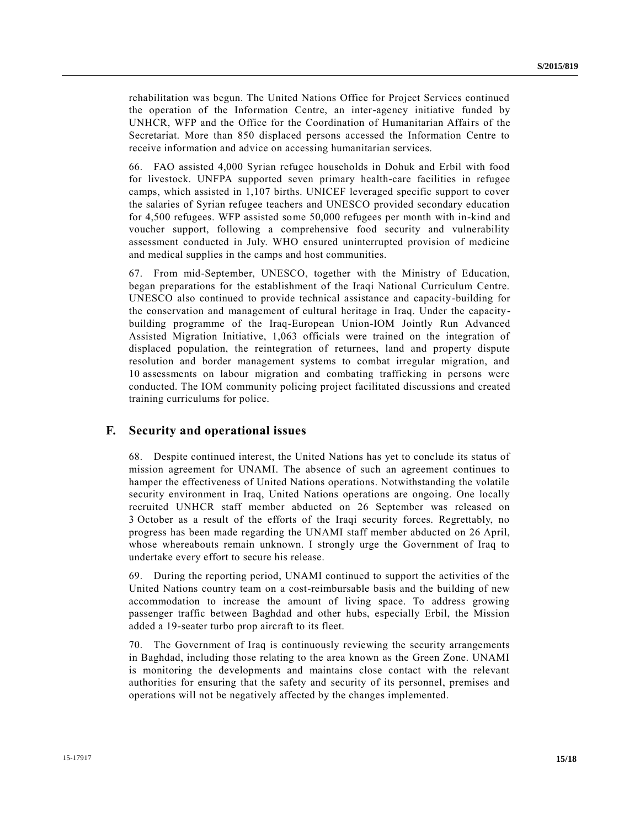rehabilitation was begun. The United Nations Office for Project Services continued the operation of the Information Centre, an inter-agency initiative funded by UNHCR, WFP and the Office for the Coordination of Humanitarian Affairs of the Secretariat. More than 850 displaced persons accessed the Information Centre to receive information and advice on accessing humanitarian services.

66. FAO assisted 4,000 Syrian refugee households in Dohuk and Erbil with food for livestock. UNFPA supported seven primary health-care facilities in refugee camps, which assisted in 1,107 births. UNICEF leveraged specific support to cover the salaries of Syrian refugee teachers and UNESCO provided secondary education for 4,500 refugees. WFP assisted some 50,000 refugees per month with in-kind and voucher support, following a comprehensive food security and vulnerability assessment conducted in July. WHO ensured uninterrupted provision of medicine and medical supplies in the camps and host communities.

67. From mid-September, UNESCO, together with the Ministry of Education, began preparations for the establishment of the Iraqi National Curriculum Centre. UNESCO also continued to provide technical assistance and capacity-building for the conservation and management of cultural heritage in Iraq. Under the capacitybuilding programme of the Iraq-European Union-IOM Jointly Run Advanced Assisted Migration Initiative, 1,063 officials were trained on the integration of displaced population, the reintegration of returnees, land and property dispute resolution and border management systems to combat irregular migration, and 10 assessments on labour migration and combating trafficking in persons were conducted. The IOM community policing project facilitated discussions and created training curriculums for police.

#### **F. Security and operational issues**

68. Despite continued interest, the United Nations has yet to conclude its status of mission agreement for UNAMI. The absence of such an agreement continues to hamper the effectiveness of United Nations operations. Notwithstanding the volatile security environment in Iraq, United Nations operations are ongoing. One locally recruited UNHCR staff member abducted on 26 September was released on 3 October as a result of the efforts of the Iraqi security forces. Regrettably, no progress has been made regarding the UNAMI staff member abducted on 26 April, whose whereabouts remain unknown. I strongly urge the Government of Iraq to undertake every effort to secure his release.

69. During the reporting period, UNAMI continued to support the activities of the United Nations country team on a cost-reimbursable basis and the building of new accommodation to increase the amount of living space. To address growing passenger traffic between Baghdad and other hubs, especially Erbil, the Mission added a 19-seater turbo prop aircraft to its fleet.

70. The Government of Iraq is continuously reviewing the security arrangements in Baghdad, including those relating to the area known as the Green Zone. UNAMI is monitoring the developments and maintains close contact with the relevant authorities for ensuring that the safety and security of its personnel, premises and operations will not be negatively affected by the changes implemented.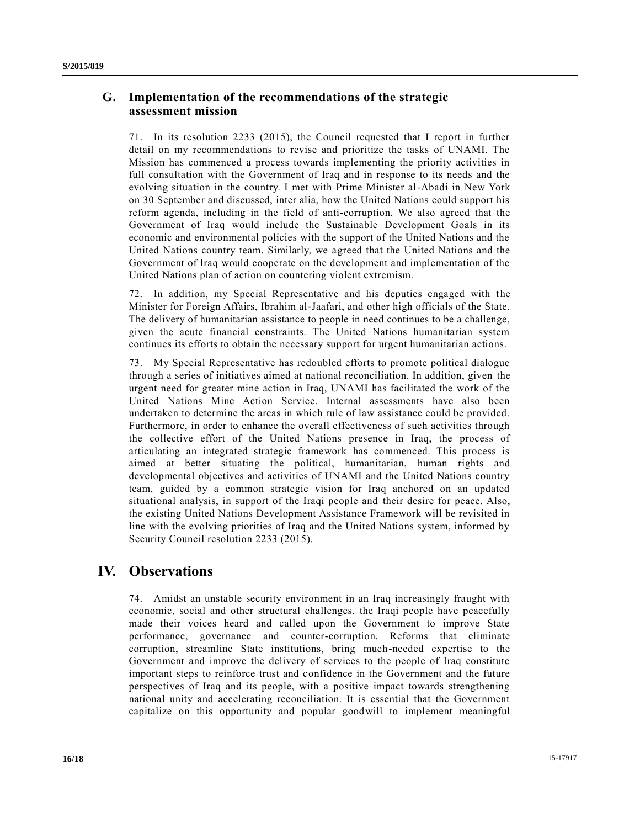## **G. Implementation of the recommendations of the strategic assessment mission**

71. In its resolution 2233 (2015), the Council requested that I report in further detail on my recommendations to revise and prioritize the tasks of UNAMI. The Mission has commenced a process towards implementing the priority activities in full consultation with the Government of Iraq and in response to its needs and the evolving situation in the country. I met with Prime Minister al-Abadi in New York on 30 September and discussed, inter alia, how the United Nations could support his reform agenda, including in the field of anti-corruption. We also agreed that the Government of Iraq would include the Sustainable Development Goals in its economic and environmental policies with the support of the United Nations and the United Nations country team. Similarly, we agreed that the United Nations and the Government of Iraq would cooperate on the development and implementation of the United Nations plan of action on countering violent extremism.

72. In addition, my Special Representative and his deputies engaged with the Minister for Foreign Affairs, Ibrahim al-Jaafari, and other high officials of the State. The delivery of humanitarian assistance to people in need continues to be a challenge, given the acute financial constraints. The United Nations humanitarian system continues its efforts to obtain the necessary support for urgent humanitarian actions.

73. My Special Representative has redoubled efforts to promote political dialogue through a series of initiatives aimed at national reconciliation. In addition, given the urgent need for greater mine action in Iraq, UNAMI has facilitated the work of the United Nations Mine Action Service. Internal assessments have also been undertaken to determine the areas in which rule of law assistance could be provided. Furthermore, in order to enhance the overall effectiveness of such activities through the collective effort of the United Nations presence in Iraq, the process of articulating an integrated strategic framework has commenced. This process is aimed at better situating the political, humanitarian, human rights and developmental objectives and activities of UNAMI and the United Nations country team, guided by a common strategic vision for Iraq anchored on an updated situational analysis, in support of the Iraqi people and their desire for peace. Also, the existing United Nations Development Assistance Framework will be revisited in line with the evolving priorities of Iraq and the United Nations system, informed by Security Council resolution 2233 (2015).

# **IV. Observations**

74. Amidst an unstable security environment in an Iraq increasingly fraught with economic, social and other structural challenges, the Iraqi people have peacefully made their voices heard and called upon the Government to improve State performance, governance and counter-corruption. Reforms that eliminate corruption, streamline State institutions, bring much-needed expertise to the Government and improve the delivery of services to the people of Iraq constitute important steps to reinforce trust and confidence in the Government and the future perspectives of Iraq and its people, with a positive impact towards strengthening national unity and accelerating reconciliation. It is essential that the Government capitalize on this opportunity and popular goodwill to implement meaningful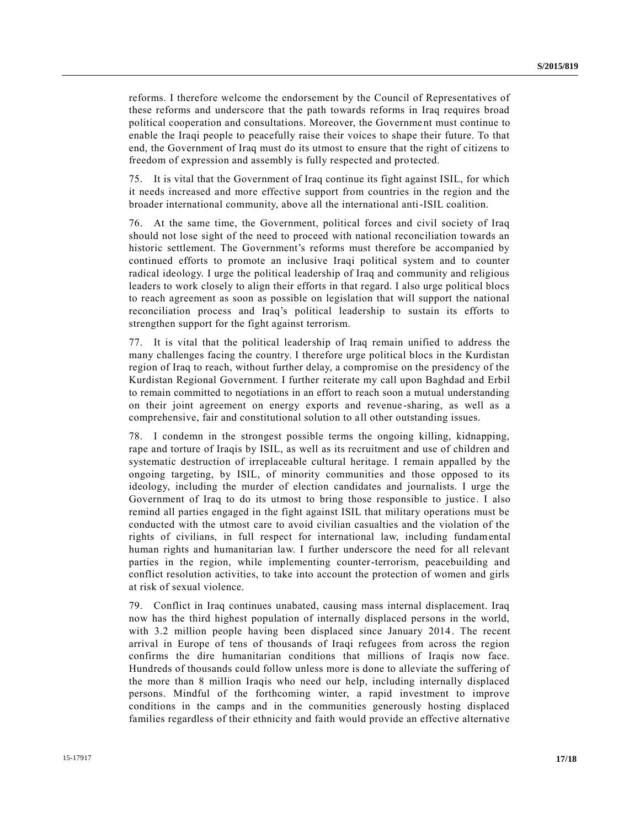reforms. I therefore welcome the endorsement by the Council of Representatives of these reforms and underscore that the path towards reforms in Iraq requires broad political cooperation and consultations. Moreover, the Government must continue to enable the Iraqi people to peacefully raise their voices to shape their future. To that end, the Government of Iraq must do its utmost to ensure that the right of citizens to freedom of expression and assembly is fully respected and protected.

75. It is vital that the Government of Iraq continue its fight against ISIL, for which it needs increased and more effective support from countries in the region and the broader international community, above all the international anti-ISIL coalition.

76. At the same time, the Government, political forces and civil society of Iraq should not lose sight of the need to proceed with national reconciliation towards an historic settlement. The Government's reforms must therefore be accompanied by continued efforts to promote an inclusive Iraqi political system and to counter radical ideology. I urge the political leadership of Iraq and community and religious leaders to work closely to align their efforts in that regard. I also urge political blocs to reach agreement as soon as possible on legislation that will support the national reconciliation process and Iraq's political leadership to sustain its efforts to strengthen support for the fight against terrorism.

77. It is vital that the political leadership of Iraq remain unified to address the many challenges facing the country. I therefore urge political blocs in the Kurdistan region of Iraq to reach, without further delay, a compromise on the presidency of the Kurdistan Regional Government. I further reiterate my call upon Baghdad and Erbil to remain committed to negotiations in an effort to reach soon a mutual understanding on their joint agreement on energy exports and revenue -sharing, as well as a comprehensive, fair and constitutional solution to all other outstanding issues.

78. I condemn in the strongest possible terms the ongoing killing, kidnapping, rape and torture of Iraqis by ISIL, as well as its recruitment and use of children and systematic destruction of irreplaceable cultural heritage. I remain appalled by the ongoing targeting, by ISIL, of minority communities and those opposed to its ideology, including the murder of election candidates and journalists. I urge the Government of Iraq to do its utmost to bring those responsible to justice . I also remind all parties engaged in the fight against ISIL that military operations must be conducted with the utmost care to avoid civilian casualties and the violation of the rights of civilians, in full respect for international law, including fundamental human rights and humanitarian law. I further underscore the need for all relevant parties in the region, while implementing counter-terrorism, peacebuilding and conflict resolution activities, to take into account the protection of women and girls at risk of sexual violence.

79. Conflict in Iraq continues unabated, causing mass internal displacement. Iraq now has the third highest population of internally displaced persons in the world, with 3.2 million people having been displaced since January 2014. The recent arrival in Europe of tens of thousands of Iraqi refugees from across the region confirms the dire humanitarian conditions that millions of Iraqis now face. Hundreds of thousands could follow unless more is done to alleviate the suffering of the more than 8 million Iraqis who need our help, including internally displaced persons. Mindful of the forthcoming winter, a rapid investment to improve conditions in the camps and in the communities generously hosting displaced families regardless of their ethnicity and faith would provide an effective alternative